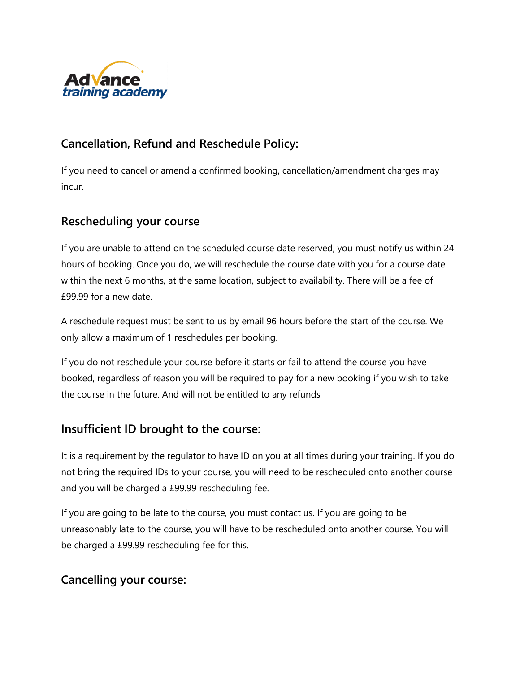

# **Cancellation, Refund and Reschedule Policy:**

If you need to cancel or amend a confirmed booking, cancellation/amendment charges may incur.

## **Rescheduling your course**

If you are unable to attend on the scheduled course date reserved, you must notify us within 24 hours of booking. Once you do, we will reschedule the course date with you for a course date within the next 6 months, at the same location, subject to availability. There will be a fee of £99.99 for a new date.

A reschedule request must be sent to us by email 96 hours before the start of the course. We only allow a maximum of 1 reschedules per booking.

If you do not reschedule your course before it starts or fail to attend the course you have booked, regardless of reason you will be required to pay for a new booking if you wish to take the course in the future. And will not be entitled to any refunds

## **Insufficient ID brought to the course:**

It is a requirement by the regulator to have ID on you at all times during your training. If you do not bring the required IDs to your course, you will need to be rescheduled onto another course and you will be charged a £99.99 rescheduling fee.

If you are going to be late to the course, you must contact us. If you are going to be unreasonably late to the course, you will have to be rescheduled onto another course. You will be charged a £99.99 rescheduling fee for this.

## **Cancelling your course:**